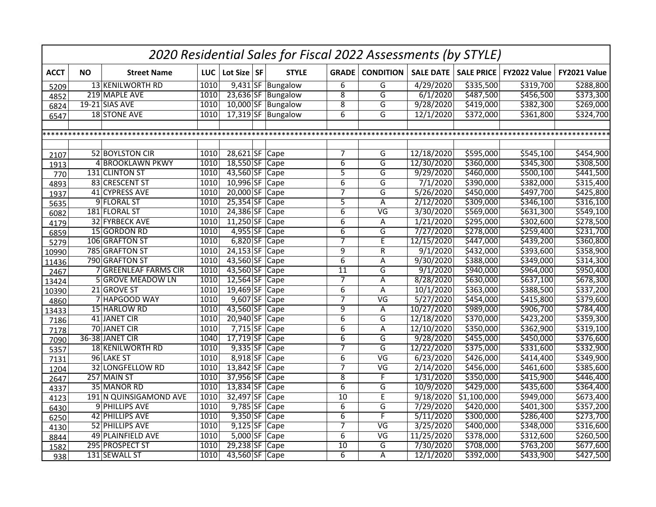|             | 2020 Residential Sales for Fiscal 2022 Assessments (by STYLE) |                              |            |                 |  |                    |                |                          |                  |                       |              |              |  |  |
|-------------|---------------------------------------------------------------|------------------------------|------------|-----------------|--|--------------------|----------------|--------------------------|------------------|-----------------------|--------------|--------------|--|--|
| <b>ACCT</b> | <b>NO</b>                                                     | <b>Street Name</b>           | <b>LUC</b> | Lot Size SF     |  | <b>STYLE</b>       | <b>GRADE</b>   | <b>CONDITION</b>         | <b>SALE DATE</b> | <b>SALE PRICE</b>     | FY2022 Value | FY2021 Value |  |  |
| 5209        |                                                               | <b>13 KENILWORTH RD</b>      | 1010       |                 |  | 9,431 SF Bungalow  | 6              | G                        | 4/29/2020        | \$335,500             | \$319,700    | \$288,800    |  |  |
| 4852        |                                                               | 219 MAPLE AVE                | 1010       |                 |  | 23,636 SF Bungalow | $\overline{8}$ | $\overline{G}$           | 6/1/2020         | \$487,500             | \$456,500    | \$373,300    |  |  |
| 6824        |                                                               | <b>19-21 SIAS AVE</b>        | 1010       |                 |  | 10,000 SF Bungalow | $\overline{8}$ | $\overline{\mathsf{G}}$  | 9/28/2020        | \$419,000             | \$382,300    | \$269,000    |  |  |
| 6547        |                                                               | <b>18 STONE AVE</b>          | 1010       |                 |  | 17,319 SF Bungalow | $\overline{6}$ | G                        | 12/1/2020        | $\overline{$}372,000$ | \$361,800    | \$324,700    |  |  |
|             |                                                               |                              |            |                 |  |                    |                |                          |                  |                       |              |              |  |  |
|             |                                                               |                              |            |                 |  |                    |                |                          |                  |                       |              |              |  |  |
|             |                                                               |                              |            |                 |  |                    |                |                          |                  |                       |              |              |  |  |
| 2107        |                                                               | 52 BOYLSTON CIR              | 1010       | $28,621$ SF     |  | Cape               | 7              | G                        | 12/18/2020       | \$595,000             | \$545,100    | \$454,900    |  |  |
| 1913        |                                                               | <b>4 BROOKLAWN PKWY</b>      | 1010       | 18,550 SF Cape  |  |                    | $\overline{6}$ | G                        | 12/30/2020       | \$360,000             | \$345,300    | \$308,500    |  |  |
| 770         |                                                               | 131 CLINTON ST               | 1010       | 43,560 SF       |  | Cape               | $\overline{5}$ | G                        | 9/29/2020        | \$460,000             | \$500,100    | \$441,500    |  |  |
| 4893        |                                                               | 83 CRESCENT ST               | 1010       | 10,996 SF Cape  |  |                    | $\overline{6}$ | $\overline{\mathsf{G}}$  | 7/1/2020         | \$390,000             | \$382,000    | \$315,400    |  |  |
| 1937        |                                                               | 41 CYPRESS AVE               | 1010       | 20,000 SF       |  | Cape               | $\overline{7}$ | G                        | 5/26/2020        | \$450,000             | \$497,700    | \$425,800    |  |  |
| 5635        |                                                               | 9 FLORAL ST                  | 1010       | 25,354 SF       |  | Cape               | $\overline{5}$ | Α                        | 2/12/2020        | \$309,000             | \$346,100    | \$316,100    |  |  |
| 6082        |                                                               | 181 FLORAL ST                | 1010       | 24,386 SF       |  | Cape               | $\overline{6}$ | $\overline{\mathsf{VG}}$ | 3/30/2020        | \$569,000             | \$631,300    | \$549,100    |  |  |
| 4179        |                                                               | 32 FYRBECK AVE               | 1010       | 11,250 SF       |  | Cape               | $\overline{6}$ | $\overline{A}$           | 1/21/2020        | \$295,000             | \$302,600    | \$278,500    |  |  |
| 6859        |                                                               | 15 GORDON RD                 | 1010       | 4,955 SF        |  | Cape               | $\overline{6}$ | $\overline{\mathsf{G}}$  | 7/27/2020        | \$278,000             | 5259,400     | \$231,700    |  |  |
| 5279        |                                                               | 106 GRAFTON ST               | 1010       | 6,820 SF        |  | Cape               | 7              | E                        | 12/15/2020       | \$447,000             | \$439,200    | \$360,800    |  |  |
| 10990       |                                                               | 785 GRAFTON ST               | 1010       | $24,153$ SF     |  | Cape               | $\overline{9}$ | $\overline{R}$           | 9/1/2020         | \$432,000             | \$393,600    | \$358,900    |  |  |
| 11436       |                                                               | 790 GRAFTON ST               | 1010       | 43,560 SF       |  | Cape               | $\overline{6}$ | Α                        | 9/30/2020        | \$388,000             | \$349,000    | 5314,300     |  |  |
| 2467        |                                                               | <b>7 GREENLEAF FARMS CIR</b> | 1010       | 43,560 SF       |  | Cape               | 11             | G                        | 9/1/2020         | \$940,000             | \$964,000    | \$950,400    |  |  |
| 13424       |                                                               | <b>5 GROVE MEADOW LN</b>     | 1010       | 12,564 SF       |  | Cape               | 7              | Α                        | 8/28/2020        | \$630,000             | \$637,100    | \$678,300    |  |  |
| 10390       |                                                               | 21 GROVE ST                  | 1010       | $19,469$ SF     |  | Cape               | $\overline{6}$ | Α                        | 10/1/2020        | \$363,000             | \$388,500    | \$337,200    |  |  |
| 4860        |                                                               | 7 HAPGOOD WAY                | 1010       | $9,607$ SF      |  | Cape               | $\overline{7}$ | $\overline{\mathsf{VG}}$ | 5/27/2020        | \$454,000             | \$415,800    | \$379,600    |  |  |
| 13433       |                                                               | 15 HARLOW RD                 | 1010       | 43,560 SF       |  | Cape               | 9              | Α                        | 10/27/2020       | \$989,000             | \$906,700    | \$784,400    |  |  |
| 7186        |                                                               | 41 JANET CIR                 | 1010       | 20,940 SF       |  | Cape               | 6              | G                        | 12/18/2020       | \$370,000             | \$423,200    | \$359,300    |  |  |
| 7178        |                                                               | 70 JANET CIR                 | 1010       | $7,715$ SF Cape |  |                    | $\overline{6}$ | Α                        | 12/10/2020       | \$350,000             | \$362,900    | \$319,100    |  |  |
| 7090        |                                                               | 36-38 JANET CIR              | 1040       | 17,719 SF Cape  |  |                    | $\overline{6}$ | G                        | 9/28/2020        | \$455,000             | \$450,000    | \$376,600    |  |  |
| 5357        |                                                               | <b>18 KENILWORTH RD</b>      | 1010       | 9,335 SF Cape   |  |                    | $\overline{7}$ | G                        | 12/22/2020       | \$375,000             | 5331,600     | \$332,900    |  |  |
| 7131        |                                                               | 96 LAKE ST                   | 1010       | 8,918 SF Cape   |  |                    | $\overline{6}$ | $\overline{\mathsf{VG}}$ | 6/23/2020        | \$426,000             | \$414,400    | \$349,900    |  |  |
| 1204        |                                                               | <b>32 LONGFELLOW RD</b>      | 1010       | 13,842 SF Cape  |  |                    | $\overline{7}$ | $\overline{\mathsf{VG}}$ | 2/14/2020        | \$456,000             | \$461,600    | \$385,600    |  |  |
| 2647        |                                                               | 257 MAIN ST                  | 1010       | 37,956 SF Cape  |  |                    | $\overline{8}$ | $\overline{F}$           | 1/31/2020        | \$350,000             | \$415,900    | \$446,400    |  |  |
| 4337        |                                                               | 35 MANOR RD                  | 1010       | 13,834 SF Cape  |  |                    | $\overline{6}$ | G                        | 10/9/2020        | \$429,000             | \$435,600    | \$364,400    |  |  |
| 4123        |                                                               | 191 N QUINSIGAMOND AVE       | 1010       | 32,497 SF       |  | Cape               | 10             | E                        | 9/18/2020        | \$1,100,000           | \$949,000    | \$673,400    |  |  |
| 6430        |                                                               | 9 PHILLIPS AVE               | 1010       | 9,785 SF Cape   |  |                    | $\overline{6}$ | $\overline{\mathsf{G}}$  | 7/29/2020        | \$420,000             | \$401,300    | \$357,200    |  |  |
| 6250        |                                                               | 42 PHILLIPS AVE              | 1010       | $9,350$ SF      |  | Cape               | $\overline{6}$ | F                        | 5/11/2020        | \$300,000             | \$286,400    | \$273,700    |  |  |
| 4130        |                                                               | 52 PHILLIPS AVE              | 1010       | $9,125$ SF Cape |  |                    | $\overline{7}$ | $\overline{\mathsf{VG}}$ | 3/25/2020        | \$400,000             | \$348,000    | \$316,600    |  |  |
| 8844        |                                                               | 49 PLAINFIELD AVE            | 1010       | $5,000$ SF      |  | Cape               | 6              | $\overline{\mathsf{VG}}$ | 11/25/2020       | \$378,000             | \$312,600    | \$260,500    |  |  |
| 1582        |                                                               | 295 PROSPECT ST              | 1010       | 29,238 SF       |  | Cape               | 10             | G                        | 7/30/2020        | \$708,000             | \$763,200    | \$677,600    |  |  |
| 938         |                                                               | 131 SEWALL ST                | 1010       | 43,560 SF Cape  |  |                    | $\overline{6}$ | A                        | 12/1/2020        | \$392,000             | \$433,900    | \$427,500    |  |  |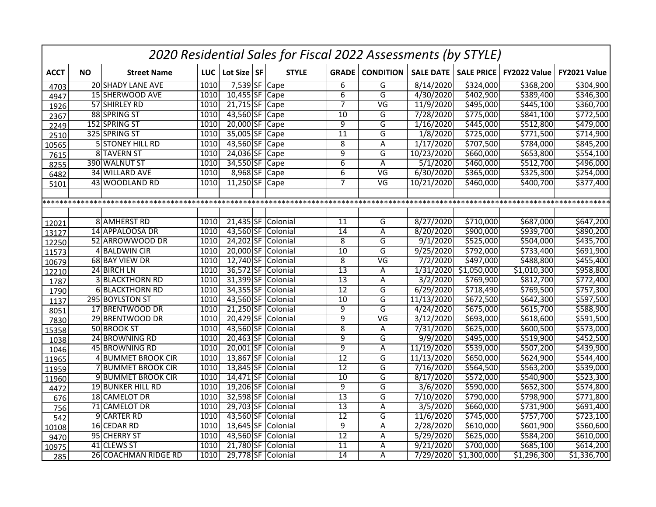|             | 2020 Residential Sales for Fiscal 2022 Assessments (by STYLE) |                          |            |                |  |                    |                 |                          |                  |                   |                       |              |  |
|-------------|---------------------------------------------------------------|--------------------------|------------|----------------|--|--------------------|-----------------|--------------------------|------------------|-------------------|-----------------------|--------------|--|
| <b>ACCT</b> | <b>NO</b>                                                     | <b>Street Name</b>       | <b>LUC</b> | Lot Size SF    |  | <b>STYLE</b>       |                 | <b>GRADE</b> CONDITION   | <b>SALE DATE</b> | <b>SALE PRICE</b> | FY2022 Value          | FY2021 Value |  |
| 4703        |                                                               | <b>20 SHADY LANE AVE</b> | 1010       | 7,539 SF Cape  |  |                    | 6               | G                        | 8/14/2020        | \$324,000         | \$368,200             | \$304,900    |  |
| 4947        |                                                               | <b>15 SHERWOOD AVE</b>   | 1010       | $10,455$ SF    |  | Cape               | $\overline{6}$  | G                        | 4/30/2020        | 5402,900          | \$389,400             | \$346,300    |  |
| 1926        |                                                               | 57 SHIRLEY RD            | 1010       | 21,715 SF Cape |  |                    | 7               | $\overline{\mathsf{VG}}$ | 11/9/2020        | \$495,000         | \$445,100             | \$360,700    |  |
| 2367        |                                                               | 88 SPRING ST             | 1010       | 43,560 SF      |  | Cape               | 10              | $\overline{\mathsf{G}}$  | 7/28/2020        | \$775,000         | \$841,100             | \$772,500    |  |
| 2249        |                                                               | 152 SPRING ST            | 1010       | 20,000 SF Cape |  |                    | व               | $\overline{\mathsf{G}}$  | 1/16/2020        | \$445,000         | \$512,800             | \$479,000    |  |
| 2510        |                                                               | 325 SPRING ST            | 1010       | 35,005 SF      |  | Cape               | $\overline{11}$ | G                        | 1/8/2020         | \$725,000         | $\overline{$}771,500$ | \$714,900    |  |
| 10565       |                                                               | 5 STONEY HILL RD         | 1010       | 43,560 SF      |  | Cape               | $\overline{8}$  | $\overline{\mathsf{A}}$  | 1/17/2020        | 5707,500          | \$784,000             | \$845,200    |  |
| 7615        |                                                               | 8 TAVERN ST              | 1010       | 24,036 SF      |  | Cape               | 9               | $\overline{\mathsf{G}}$  | 10/23/2020       | \$660,000         | \$653,800             | \$554,100    |  |
| 8255        |                                                               | 390 WALNUT ST            | 1010       | 34,550 SF      |  | Cape               | $\overline{6}$  | Α                        | 5/1/2020         | \$460,000         | \$512,700             | \$496,000    |  |
| 6482        |                                                               | 34 WILLARD AVE           | 1010       | $8,968$ SF     |  | Cape               | $\overline{6}$  | $\overline{\mathsf{VG}}$ | 6/30/2020        | \$365,000         | \$325,300             | \$254,000    |  |
| 5101        |                                                               | 43 WOODLAND RD           | 1010       | 11,250 SF Cape |  |                    | $\overline{7}$  | $\overline{\mathsf{VG}}$ | 10/21/2020       | \$460,000         | 5400,700              | \$377,400    |  |
|             |                                                               |                          |            |                |  |                    |                 |                          |                  |                   |                       |              |  |
|             |                                                               |                          |            |                |  |                    |                 |                          |                  |                   |                       |              |  |
|             |                                                               |                          |            |                |  |                    |                 |                          |                  |                   |                       |              |  |
| 12021       |                                                               | 8 AMHERST RD             | 1010       | 21,435 SF      |  | Colonial           | 11              | G                        | 8/27/2020        | \$710,000         | \$687,000             | \$647,200    |  |
| 13127       |                                                               | <b>14 APPALOOSA DR</b>   | 1010       | 43,560 SF      |  | Colonial           | $\overline{14}$ | Α                        | 8/20/2020        | \$900,000         | \$939,700             | \$890,200    |  |
| 12250       |                                                               | 52 ARROWWOOD DR          | 1010       | 24,202 SF      |  | Colonial           | $\overline{8}$  | G                        | 9/1/2020         | \$525,000         | 5504,000              | \$435,700    |  |
| 11573       |                                                               | 4 BALDWIN CIR            | 1010       | 20,000 SF      |  | Colonial           | $\overline{10}$ | $\overline{G}$           | 9/25/2020        | \$792,000         | \$733,400             | \$691,900    |  |
| 10679       |                                                               | 68 BAY VIEW DR           | 1010       | 12,740 SF      |  | Colonial           | $\overline{8}$  | $\overline{\mathsf{VG}}$ | 7/2/2020         | \$497,000         | \$488,800             | \$455,400    |  |
| 12210       |                                                               | 24 BIRCH LN              | 1010       | 36,572 SF      |  | Colonial           | 13              | A                        | 1/31/2020        | \$1,050,000       | \$1,010,300           | \$958,800    |  |
| 1787        |                                                               | <b>3 BLACKTHORN RD</b>   | 1010       | 31,399 SF      |  | Colonial           | $\overline{13}$ | Α                        | 3/2/2020         | \$769,900         | \$812,700             | \$772,400    |  |
| 1790        |                                                               | 6 BLACKTHORN RD          | 1010       | 34,355 SF      |  | Colonial           | $\overline{12}$ | G                        | 6/29/2020        | \$718,490         | \$769,500             | \$757,300    |  |
| 1137        |                                                               | 295 BOYLSTON ST          | 1010       | 43,560 SF      |  | Colonial           | $\overline{10}$ | G                        | 11/13/2020       | \$672,500         | \$642,300             | \$597,500    |  |
| 8051        |                                                               | 17 BRENTWOOD DR          | 1010       | 21,250 SF      |  | Colonial           | 9               | $\overline{\mathsf{G}}$  | 4/24/2020        | \$675,000         | \$615,700             | \$588,900    |  |
| 7830        |                                                               | 29 BRENTWOOD DR          | 1010       | 20,429 SF      |  | Colonial           | 9               | $\overline{\mathsf{VG}}$ | 3/12/2020        | \$693,000         | \$618,600             | \$591,500    |  |
| 15358       |                                                               | 50 BROOK ST              | 1010       |                |  | 43,560 SF Colonial | $\overline{8}$  | Α                        | 7/31/2020        | \$625,000         | \$600,500             | \$573,000    |  |
| 1038        |                                                               | 24 BROWNING RD           | 1010       | $20,463$ SF    |  | Colonial           | $\overline{9}$  | G                        | 9/9/2020         | \$495,000         | \$519,900             | \$452,500    |  |
| 1046        |                                                               | 45 BROWNING RD           | 1010       |                |  | 20,001 SF Colonial | 9               | Α                        | 11/19/2020       | \$539,000         | \$507,200             | \$439,900    |  |
| 11965       |                                                               | 4 BUMMET BROOK CIR       | 1010       | 13,867 SF      |  | Colonial           | $\overline{12}$ | G                        | 11/13/2020       | \$650,000         | \$624,900             | \$544,400    |  |
| 11959       |                                                               | 7 BUMMET BROOK CIR       | 1010       |                |  | 13,845 SF Colonial | $\overline{12}$ | G                        | 7/16/2020        | \$564,500         | \$563,200             | \$539,000    |  |
| 11960       |                                                               | 9 BUMMET BROOK CIR       | 1010       | $14,471$ SF    |  | Colonial           | $\overline{10}$ | G                        | 8/17/2020        | \$572,000         | \$540,900             | \$523,300    |  |
| 4472        |                                                               | <b>19 BUNKER HILL RD</b> | 1010       | 19,206 SF      |  | Colonial           | 9               | G                        | 3/6/2020         | \$590,000         | 5652,300              | \$574,800    |  |
| 676         |                                                               | 18 CAMELOT DR            | 1010       | 32,598 SF      |  | Colonial           | 13              | G                        | 7/10/2020        | \$790,000         | \$798,900             | \$771,800    |  |
| 756         |                                                               | 71 CAMELOT DR            | 1010       | 29,703 SF      |  | Colonial           | $\overline{13}$ | $\overline{A}$           | 3/5/2020         | \$660,000         | \$731,900             | \$691,400    |  |
| 542         |                                                               | 9 CARTER RD              | 1010       | 43,560 SF      |  | Colonial           | $\overline{12}$ | G                        | 11/6/2020        | \$745,000         | \$757,700             | \$723,100    |  |
| 10108       |                                                               | 16 CEDAR RD              | 1010       | $13,645$ SF    |  | Colonial           | $\overline{9}$  | Α                        | 2/28/2020        | \$610,000         | 5601,900              | \$560,600    |  |
| 9470        |                                                               | 95 CHERRY ST             | 1010       | 43,560 SF      |  | Colonial           | $\overline{12}$ | Α                        | 5/29/2020        | \$625,000         | \$584,200             | \$610,000    |  |
| 10975       |                                                               | 41 CLEWS ST              | 1010       | 21,780 SF      |  | Colonial           | 11              | Α                        | 9/21/2020        | \$700,000         | \$685,100             | \$614,200    |  |
| 285         |                                                               | 26 COACHMAN RIDGE RD     | 1010       |                |  | 29,778 SF Colonial | $\overline{14}$ | Α                        | 7/29/2020        | \$1,300,000       | \$1,296,300           | \$1,336,700  |  |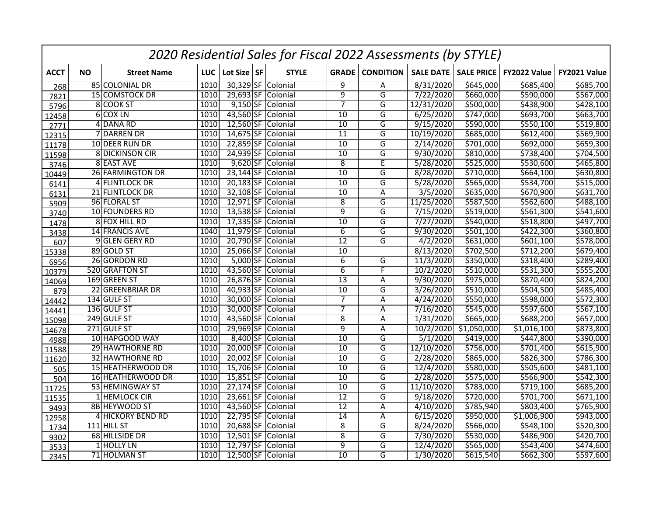|             | 2020 Residential Sales for Fiscal 2022 Assessments (by STYLE) |                        |      |             |  |                    |                 |                         |                     |                   |                   |              |  |
|-------------|---------------------------------------------------------------|------------------------|------|-------------|--|--------------------|-----------------|-------------------------|---------------------|-------------------|-------------------|--------------|--|
| <b>ACCT</b> | <b>NO</b>                                                     | <b>Street Name</b>     | LUC  | Lot Size SF |  | <b>STYLE</b>       | <b>GRADE</b>    | <b>CONDITION</b>        | <b>SALE DATE</b>    | <b>SALE PRICE</b> | FY2022 Value      | FY2021 Value |  |
| 268         |                                                               | 85 COLONIAL DR         | 1010 |             |  | 30,329 SF Colonial | 9               | Α                       | 8/31/2020           | \$645,000         | 5685,400          | \$685,700    |  |
| 7821        |                                                               | 15 COMSTOCK DR         | 1010 | 29,693 SF   |  | Colonial           | $\overline{9}$  | $\overline{G}$          | 7/22/2020           | \$660,000         | \$590,000         | \$567,000    |  |
| 5796        |                                                               | 8 COOK ST              | 1010 |             |  | 9,150 SF Colonial  | $\overline{7}$  | $\overline{\mathsf{G}}$ | 12/31/2020          | \$500,000         | \$438,900         | \$428,100    |  |
| 12458       |                                                               | 6 COX LN               | 1010 |             |  | 43,560 SF Colonial | 10              | G                       | 6/25/2020           | \$747,000         | \$693,700         | \$663,700    |  |
| 2771        |                                                               | 4 DANA RD              | 1010 |             |  | 12,560 SF Colonial | $\overline{10}$ | G                       | 9/15/2020           | \$590,000         | 5550,100          | \$519,800    |  |
| 12315       |                                                               | 7 DARREN DR            | 1010 | $14,675$ SF |  | Colonial           | $\overline{11}$ | G                       | 10/19/2020          | \$685,000         | \$612,400         | \$569,900    |  |
| 11178       |                                                               | 10 DEER RUN DR         | 1010 |             |  | 22,859 SF Colonial | 10              | G                       | 2/14/2020           | \$701,000         | \$692,000         | \$659,300    |  |
| 11598       |                                                               | 8 DICKINSON CIR        | 1010 | 24,939 SF   |  | Colonial           | $\overline{10}$ | $\overline{\mathsf{G}}$ | 9/30/2020           | \$810,000         | \$738,400         | \$704,500    |  |
| 3746        |                                                               | 8 EAST AVE             | 1010 |             |  | 9,620 SF Colonial  | $\overline{8}$  | E                       | 5/28/2020           | \$525,000         | \$530,600         | \$465,800    |  |
| 10449       |                                                               | 26 FARMINGTON DR       | 1010 | $23,144$ SF |  | Colonial           | 10              | G                       | 8/28/2020           | \$710,000         | \$664,100         | \$630,800    |  |
| 6141        |                                                               | 4 FLINTLOCK DR         | 1010 |             |  | 20,183 SF Colonial | $\overline{10}$ | $\overline{\mathsf{G}}$ | 5/28/2020           | \$565,000         | 5534,700          | \$515,000    |  |
| 6131        |                                                               | 21 FLINTLOCK DR        | 1010 | 32,108 SF   |  | Colonial           | $\overline{10}$ | Α                       | 3/5/2020            | \$635,000         | 5670,900          | \$631,700    |  |
| 5909        |                                                               | 96 FLORAL ST           | 1010 | $12,971$ SF |  | Colonial           | $\overline{8}$  | $\overline{\mathsf{G}}$ | 11/25/2020          | \$587,500         | 5562,600          | \$488,100    |  |
| 3740        |                                                               | 10 FOUNDERS RD         | 1010 | $13,538$ SF |  | Colonial           | $\overline{9}$  | G                       | 7/15/2020           | \$519,000         | \$561,300         | \$541,600    |  |
| 1478        |                                                               | 8 FOX HILL RD          | 1010 | $17,335$ SF |  | Colonial           | $\overline{10}$ | G                       | 7/27/2020           | \$540,000         | \$518,800         | \$497,700    |  |
| 3438        |                                                               | <b>14 FRANCIS AVE</b>  | 1040 | $11,979$ SF |  | Colonial           | $\overline{6}$  | $\overline{\mathsf{G}}$ | 9/30/2020           | \$501,100         | \$422,300         | \$360,800    |  |
| 607         |                                                               | 9 GLEN GERY RD         | 1010 | 20,790 SF   |  | Colonial           | $\overline{12}$ | G                       | $\frac{4}{2}{2020}$ | \$631,000         | \$601,100         | \$578,000    |  |
| 15338       |                                                               | 89 GOLD ST             | 1010 | $25,066$ SF |  | Colonial           | $\overline{10}$ |                         | 8/13/2020           | \$702,500         | \$712,200         | \$679,400    |  |
| 6956        |                                                               | 26 GORDON RD           | 1010 | $5,000$ SF  |  | Colonial           | $\overline{6}$  | G                       | 11/3/2020           | \$350,000         | \$318,400         | \$289,400    |  |
| 10379       |                                                               | 520 GRAFTON ST         | 1010 | 43,560 SF   |  | Colonial           | $\overline{6}$  | F                       | 10/2/2020           | \$510,000         | \$531,300         | \$555,200    |  |
| 14069       |                                                               | 169 GREEN ST           | 1010 | 26,876 SF   |  | Colonial           | $\overline{13}$ | Α                       | 9/30/2020           | \$975,000         | \$870,400         | \$824,200    |  |
| 879         |                                                               | 22 GREENBRIAR DR       | 1010 | 40,933 SF   |  | Colonial           | 10              | G                       | 3/26/2020           | \$510,000         | 5504,500          | \$485,400    |  |
| 14442       |                                                               | 134 GULF ST            | 1010 | 30,000 SF   |  | Colonial           | $\overline{7}$  | A                       | 4/24/2020           | \$550,000         | \$598,000         | \$572,300    |  |
| 14441       |                                                               | 136 GULF ST            | 1010 | 30,000 SF   |  | Colonial           | $\overline{7}$  | Α                       | 7/16/2020           | \$545,000         | \$597,600         | \$567,100    |  |
| 15098       |                                                               | 249 GULF ST            | 1010 | 43,560 SF   |  | Colonial           | $\overline{8}$  | A                       | 1/31/2020           | \$665,000         | \$688,200         | \$657,000    |  |
| 14678       |                                                               | 271 GULF ST            | 1010 |             |  | 29,969 SF Colonial | $\overline{9}$  | Α                       | 10/2/2020           | \$1,050,000       | \$1,016,100       | \$873,800    |  |
| 4988        |                                                               | 10 HAPGOOD WAY         | 1010 | 8,400 SF    |  | Colonial           | 10              | G                       | 5/1/2020            | \$419,000         | $\sqrt{5447,800}$ | \$390,000    |  |
| 11588       |                                                               | 29 HAWTHORNE RD        | 1010 |             |  | 20,000 SF Colonial | $\overline{10}$ | G                       | 12/10/2020          | \$756,000         | \$701,400         | \$615,900    |  |
| 11620       |                                                               | <b>32 HAWTHORNE RD</b> | 1010 | 20,002 SF   |  | Colonial           | $\overline{10}$ | $\overline{\mathsf{G}}$ | 2/28/2020           | \$865,000         | \$826,300         | \$786,300    |  |
| 505         |                                                               | 15 HEATHERWOOD DR      | 1010 |             |  | 15,706 SF Colonial | 10              | G                       | 12/4/2020           | \$580,000         | \$505,600         | \$481,100    |  |
| 504         |                                                               | 16 HEATHERWOOD DR      | 1010 | $15,851$ SF |  | Colonial           | 10              | $\overline{\mathsf{G}}$ | 2/28/2020           | \$575,000         | \$566,900         | \$542,300    |  |
| 11725       |                                                               | 53 HEMINGWAY ST        | 1010 | $27,174$ SF |  | Colonial           | 10              | G                       | 11/10/2020          | \$783,000         | \$719,100         | \$685,200    |  |
| 11535       |                                                               | 1 HEMLOCK CIR          | 1010 | $23,661$ SF |  | Colonial           | 12              | G                       | 9/18/2020           | \$720,000         | \$701,700         | \$671,100    |  |
| 9493        |                                                               | 8B HEYWOOD ST          | 1010 |             |  | 43,560 SF Colonial | $\overline{12}$ | $\overline{A}$          | 4/10/2020           | \$785,940         | \$803,400         | \$765,900    |  |
| 12958       |                                                               | 4 HICKORY BEND RD      | 1010 | 22,795 SF   |  | Colonial           | $\overline{14}$ | Α                       | 6/15/2020           | \$950,000         | \$1,006,900       | \$943,000    |  |
| 1734        |                                                               | $111$ HILL ST          | 1010 | 20,688 SF   |  | Colonial           | $\overline{8}$  | G                       | 8/24/2020           | \$566,000         | \$548,100         | \$520,300    |  |
| 9302        |                                                               | 68 HILLSIDE DR         | 1010 | $12,501$ SF |  | Colonial           | 8               | G                       | 7/30/2020           | \$530,000         | \$486,900         | \$420,700    |  |
| 3533        |                                                               | 1 HOLLY LN             | 1010 | 12,797 SF   |  | Colonial           | $\overline{9}$  | G                       | 12/4/2020           | \$565,000         | \$543,400         | \$474,600    |  |
| 2345        |                                                               | 71 HOLMAN ST           | 1010 |             |  | 12,500 SF Colonial | 10              | G                       | 1/30/2020           | \$615,540         | \$662,300         | \$597,600    |  |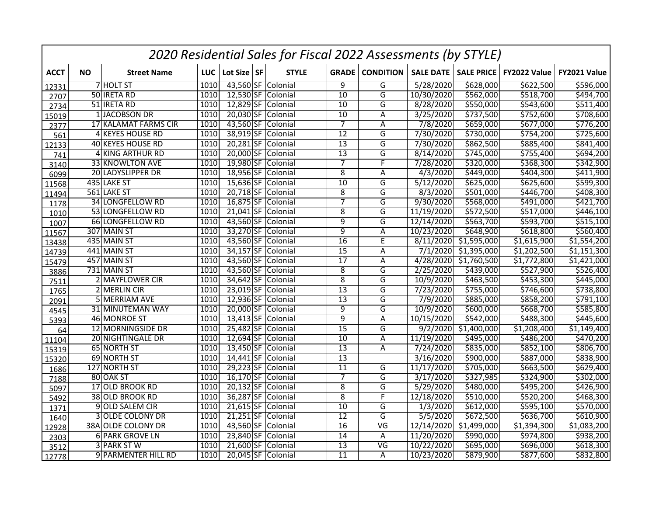|             | 2020 Residential Sales for Fiscal 2022 Assessments (by STYLE) |                           |      |             |  |                    |                 |                          |                  |                   |              |              |  |
|-------------|---------------------------------------------------------------|---------------------------|------|-------------|--|--------------------|-----------------|--------------------------|------------------|-------------------|--------------|--------------|--|
| <b>ACCT</b> | <b>NO</b>                                                     | <b>Street Name</b>        | LUC  | Lot Size SF |  | <b>STYLE</b>       |                 | <b>GRADE</b> CONDITION   | <b>SALE DATE</b> | <b>SALE PRICE</b> | FY2022 Value | FY2021 Value |  |
| 12331       |                                                               | 7 HOLT ST                 | 1010 |             |  | 43,560 SF Colonial | $\overline{9}$  | G                        | 5/28/2020        | \$628,000         | \$622,500    | \$596,000    |  |
| 2707        |                                                               | 50 <b>IRETA RD</b>        | 1010 |             |  | 12,530 SF Colonial | 10              | G                        | 10/30/2020       | \$562,000         | \$518,700    | \$494,700    |  |
| 2734        |                                                               | 51 <b>IRETA RD</b>        | 1010 |             |  | 12,829 SF Colonial | $\overline{10}$ | $\overline{\mathsf{G}}$  | 8/28/2020        | \$550,000         | \$543,600    | \$511,400    |  |
| 15019       |                                                               | 1 JACOBSON DR             | 1010 |             |  | 20,030 SF Colonial | 10              | Α                        | 3/25/2020        | \$737,500         | \$752,600    | \$708,600    |  |
| 2377        |                                                               | 17 KALAMAT FARMS CIR      | 1010 |             |  | 43,560 SF Colonial | 7               | A                        | 7/8/2020         | \$659,000         | \$677,000    | \$776,200    |  |
| 561         |                                                               | 4 KEYES HOUSE RD          | 1010 |             |  | 38,919 SF Colonial | $\overline{12}$ | G                        | 7/30/2020        | \$730,000         | 5754,200     | \$725,600    |  |
| 12133       |                                                               | 40 KEYES HOUSE RD         | 1010 |             |  | 20,281 SF Colonial | 13              | G                        | 7/30/2020        | \$862,500         | \$885,400    | \$841,400    |  |
| 741         |                                                               | 4 KING ARTHUR RD          | 1010 |             |  | 20,000 SF Colonial | $\overline{13}$ | $\overline{\mathsf{G}}$  | 8/14/2020        | \$745,000         | 5755,400     | \$694,200    |  |
| 3140        |                                                               | 33 KNOWLTON AVE           | 1010 |             |  | 19,980 SF Colonial | $\overline{7}$  | F                        | 7/28/2020        | \$320,000         | \$368,300    | \$342,900    |  |
| 6099        |                                                               | 20 LADYSLIPPER DR         | 1010 |             |  | 18,956 SF Colonial | $\overline{8}$  | Α                        | 4/3/2020         | \$449,000         | \$404,300    | \$411,900    |  |
| 11568       |                                                               | 435 LAKE ST               | 1010 |             |  | 15,636 SF Colonial | $\overline{10}$ | G                        | 5/12/2020        | \$625,000         | \$625,600    | \$599,300    |  |
| 11494       |                                                               | 561 LAKE ST               | 1010 |             |  | 20,718 SF Colonial | $\overline{8}$  | G                        | 8/3/2020         | \$501,000         | \$446,700    | \$408,300    |  |
| 1178        |                                                               | <b>34 LONGFELLOW RD</b>   | 1010 |             |  | 16,875 SF Colonial | 7               | G                        | 9/30/2020        | \$568,000         | \$491,000    | \$421,700    |  |
| 1010        |                                                               | 53 LONGFELLOW RD          | 1010 | $21,041$ SF |  | Colonial           | $\overline{8}$  | G                        | 11/19/2020       | \$572,500         | 5517,000     | \$446,100    |  |
| 1007        |                                                               | 66 LONGFELLOW RD          | 1010 |             |  | 43,560 SF Colonial | $\overline{9}$  | G                        | 12/14/2020       | \$563,700         | \$593,700    | \$515,100    |  |
| 11567       |                                                               | 307 MAIN ST               | 1010 | 33,270 SF   |  | Colonial           | $\overline{9}$  | A                        | 10/23/2020       | \$648,900         | \$618,800    | \$560,400    |  |
| 13438       |                                                               | 435 MAIN ST               | 1010 | 43,560 SF   |  | Colonial           | $\overline{16}$ | E                        | 8/11/2020        | \$1,595,000       | \$1,615,900  | \$1,554,200  |  |
| 14739       |                                                               | 441 MAIN ST               | 1010 | 34,157 SF   |  | Colonial           | $\overline{15}$ | A                        | 7/1/2020         | \$1,395,000       | \$1,202,500  | \$1,151,300  |  |
| 15479       |                                                               | 457 MAIN ST               | 1010 | 43,560 SF   |  | Colonial           | $\overline{17}$ | A                        | 4/28/2020        | \$1,760,500       | \$1,772,800  | \$1,421,000  |  |
| 3886        |                                                               | 731 MAIN ST               | 1010 | 43,560 SF   |  | Colonial           | $\overline{8}$  | G                        | 2/25/2020        | \$439,000         | \$527,900    | \$526,400    |  |
| 7511        |                                                               | 2 MAYFLOWER CIR           | 1010 | 34,642 SF   |  | Colonial           | $\overline{8}$  | G                        | 10/9/2020        | \$463,500         | \$453,300    | \$445,000    |  |
| 1765        |                                                               | 2 MERLIN CIR              | 1010 | $23,019$ SF |  | Colonial           | $\overline{13}$ | G                        | 7/23/2020        | \$755,000         | \$746,600    | \$738,800    |  |
| 2091        |                                                               | 5 MERRIAM AVE             | 1010 |             |  | 12,936 SF Colonial | $\overline{13}$ | $\overline{G}$           | 7/9/2020         | \$885,000         | \$858,200    | \$791,100    |  |
| 4545        |                                                               | 31 MINUTEMAN WAY          | 1010 | 20,000 SF   |  | Colonial           | $\overline{9}$  | G                        | 10/9/2020        | \$600,000         | \$668,700    | \$585,800    |  |
| 5393        |                                                               | 46 MONROE ST              | 1010 |             |  | 13,413 SF Colonial | $\overline{9}$  | A                        | 10/15/2020       | \$542,000         | \$488,300    | \$445,600    |  |
| 64          |                                                               | 12 MORNINGSIDE DR         | 1010 |             |  | 25,482 SF Colonial | $\overline{15}$ | G                        | 9/2/2020         | \$1,400,000       | \$1,208,400  | \$1,149,400  |  |
| 11104       |                                                               | 20 NIGHTINGALE DR         | 1010 |             |  | 12,694 SF Colonial | $\overline{10}$ | A                        | 11/19/2020       | \$495,000         | \$486,200    | \$470,200    |  |
| 15319       |                                                               | 65 NORTH ST               | 1010 |             |  | 13,450 SF Colonial | 13              | A                        | 7/24/2020        | \$835,000         | 5852,100     | \$806,700    |  |
| 15320       |                                                               | 69 NORTH ST               | 1010 |             |  | 14,441 SF Colonial | $\overline{13}$ |                          | 3/16/2020        | \$900,000         | \$887,000    | \$838,900    |  |
| 1686        |                                                               | 127 NORTH ST              | 1010 |             |  | 29,223 SF Colonial | $\overline{11}$ | G                        | 11/17/2020       | \$705,000         | \$663,500    | \$629,400    |  |
| 7188        |                                                               | 80 OAK ST                 | 1010 |             |  | 16,170 SF Colonial | $\overline{7}$  | $\overline{G}$           | 3/17/2020        | \$327,985         | \$324,900    | \$302,000    |  |
| 5097        |                                                               | 17 OLD BROOK RD           | 1010 |             |  | 20,132 SF Colonial | $\overline{8}$  | G                        | 5/29/2020        | \$480,000         | \$495,200    | \$426,900    |  |
| 5492        |                                                               | 38 OLD BROOK RD           | 1010 |             |  | 36,287 SF Colonial | $\overline{8}$  | F                        | 12/18/2020       | \$510,000         | 5520,200     | \$468,300    |  |
| 1371        |                                                               | 9 OLD SALEM CIR           | 1010 |             |  | 21,615 SF Colonial | $\overline{10}$ | G                        | 1/3/2020         | \$612,000         | \$595,100    | \$570,000    |  |
| 1640        |                                                               | <b>3 OLDE COLONY DR</b>   | 1010 |             |  | 21,251 SF Colonial | $\overline{12}$ | G                        | 5/5/2020         | \$672,500         | \$636,700    | \$610,900    |  |
| 12928       |                                                               | <b>38A OLDE COLONY DR</b> | 1010 |             |  | 43,560 SF Colonial | 16              | $\overline{\mathsf{VG}}$ | 12/14/2020       | \$1,499,000       | \$1,394,300  | \$1,083,200  |  |
| 2303        |                                                               | <b>6 PARK GROVE LN</b>    | 1010 |             |  | 23,840 SF Colonial | $\overline{14}$ | Α                        | 11/20/2020       | \$990,000         | \$974,800    | \$938,200    |  |
| 3512        |                                                               | 3 PARK ST W               | 1010 |             |  | 21,600 SF Colonial | $\overline{13}$ | $\overline{\mathsf{VG}}$ | 10/22/2020       | \$695,000         | \$696,000    | \$618,300    |  |
| 12778       |                                                               | 9 PARMENTER HILL RD       | 1010 |             |  | 20,045 SF Colonial | $\overline{11}$ | A                        | 10/23/2020       | \$879,900         | \$877,600    | \$832,800    |  |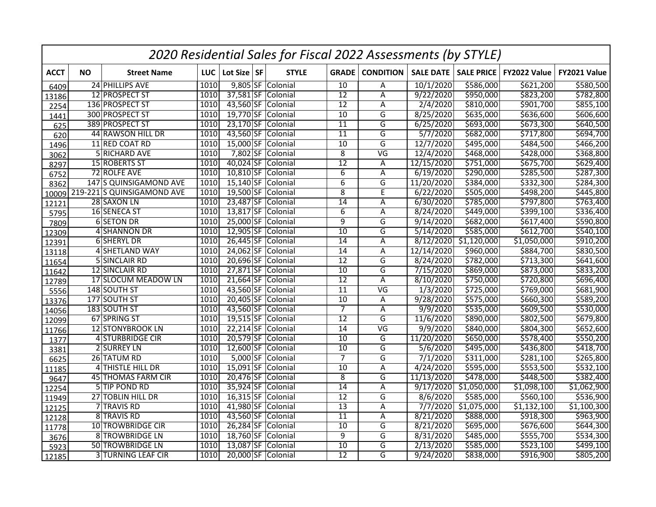|             | 2020 Residential Sales for Fiscal 2022 Assessments (by STYLE) |                            |      |             |  |                    |                 |                          |                  |                   |              |              |  |
|-------------|---------------------------------------------------------------|----------------------------|------|-------------|--|--------------------|-----------------|--------------------------|------------------|-------------------|--------------|--------------|--|
| <b>ACCT</b> | <b>NO</b>                                                     | <b>Street Name</b>         | LUC  | Lot Size SF |  | <b>STYLE</b>       | <b>GRADE</b>    | <b>CONDITION</b>         | <b>SALE DATE</b> | <b>SALE PRICE</b> | FY2022 Value | FY2021 Value |  |
| 6409        |                                                               | 24 PHILLIPS AVE            | 1010 |             |  | 9,805 SF Colonial  | 10              | Α                        | 10/1/2020        | \$586,000         | \$621,200    | \$580,500    |  |
| 13186       |                                                               | 12 PROSPECT ST             | 1010 | 37,581 SF   |  | Colonial           | $\overline{12}$ | Α                        | 9/22/2020        | \$950,000         | \$823,200    | \$782,800    |  |
| 2254        |                                                               | 136 PROSPECT ST            | 1010 |             |  | 43,560 SF Colonial | $\overline{12}$ | Α                        | 2/4/2020         | \$810,000         | \$901,700    | \$855,100    |  |
| 1441        |                                                               | 300 PROSPECT ST            | 1010 |             |  | 19,770 SF Colonial | 10              | G                        | 8/25/2020        | \$635,000         | \$636,600    | \$606,600    |  |
| 625         |                                                               | 389 PROSPECT ST            | 1010 |             |  | 23,170 SF Colonial | $\overline{11}$ | G                        | 6/25/2020        | \$693,000         | \$673,300    | \$640,500    |  |
| 620         |                                                               | 44 RAWSON HILL DR          | 1010 | 43,560 SF   |  | Colonial           | $\overline{11}$ | G                        | 5/7/2020         | \$682,000         | \$717,800    | \$694,700    |  |
| 1496        |                                                               | 11 RED COAT RD             | 1010 |             |  | 15,000 SF Colonial | 10              | G                        | 12/7/2020        | \$495,000         | \$484,500    | \$466,200    |  |
| 3062        |                                                               | 5 RICHARD AVE              | 1010 | 7,802 SF    |  | Colonial           | $\overline{8}$  | $\overline{\mathsf{VG}}$ | 12/4/2020        | \$468,000         | \$428,000    | \$368,800    |  |
| 8297        |                                                               | 15 ROBERTS ST              | 1010 |             |  | 40,024 SF Colonial | $\overline{12}$ | Α                        | 12/15/2020       | \$751,000         | \$675,700    | \$629,400    |  |
| 6752        |                                                               | 72 ROLFE AVE               | 1010 | $10,810$ SF |  | Colonial           | $6\overline{6}$ | Α                        | 6/19/2020        | \$290,000         | \$285,500    | \$287,300    |  |
| 8362        |                                                               | 147 S QUINSIGAMOND AVE     | 1010 |             |  | 15,140 SF Colonial | $\overline{6}$  | G                        | 11/20/2020       | \$384,000         | \$332,300    | \$284,300    |  |
| 10009       |                                                               | 219-221 S QUINSIGAMOND AVE | 1010 | 19,500 SF   |  | Colonial           | $\overline{8}$  | E                        | 6/22/2020        | \$505,000         | \$498,200    | \$445,800    |  |
| 12121       |                                                               | 28 SAXON LN                | 1010 | 23,487 SF   |  | Colonial           | $\overline{14}$ | Α                        | 6/30/2020        | \$785,000         | \$797,800    | \$763,400    |  |
| 5795        |                                                               | 16 SENECA ST               | 1010 | $13,817$ SF |  | Colonial           | $\overline{6}$  | Α                        | 8/24/2020        | \$449,000         | \$399,100    | \$336,400    |  |
| 7809        |                                                               | 6 SETON DR                 | 1010 | 25,000 SF   |  | Colonial           | $\overline{9}$  | G                        | 9/14/2020        | \$682,000         | 5617,400     | \$590,800    |  |
| 12309       |                                                               | 4 SHANNON DR               | 1010 | 12,905 SF   |  | Colonial           | $\overline{10}$ | G                        | 5/14/2020        | \$585,000         | \$612,700    | \$540,100    |  |
| 12391       |                                                               | 6 SHERYL DR                | 1010 | 26,445 SF   |  | Colonial           | $\overline{14}$ | Α                        | 8/12/2020        | \$1,120,000       | \$1,050,000  | \$910,200    |  |
| 13118       |                                                               | 4 SHETLAND WAY             | 1010 | 24,062 SF   |  | Colonial           | $\overline{14}$ | Α                        | 12/14/2020       | \$960,000         | \$884,700    | \$830,500    |  |
| 11654       |                                                               | 5 SINCLAIR RD              | 1010 | 20,696 SF   |  | Colonial           | $\overline{12}$ | G                        | 8/24/2020        | \$782,000         | \$713,300    | \$641,600    |  |
| 11642       |                                                               | 12 SINCLAIR RD             | 1010 | 27,871 SF   |  | Colonial           | 10              | G                        | 7/15/2020        | \$869,000         | \$873,000    | \$833,200    |  |
| 12789       |                                                               | 17 SLOCUM MEADOW LN        | 1010 | $21,664$ SF |  | Colonial           | $\overline{12}$ | Α                        | 8/10/2020        | \$750,000         | \$720,800    | \$696,400    |  |
| 5556        |                                                               | 148 SOUTH ST               | 1010 | 43,560 SF   |  | Colonial           | 11              | VG                       | 1/3/2020         | \$725,000         | \$769,000    | \$681,900    |  |
| 13376       |                                                               | 177 SOUTH ST               | 1010 | 20,405 SF   |  | Colonial           | 10              | Α                        | 9/28/2020        | \$575,000         | \$660,300    | \$589,200    |  |
| 14056       |                                                               | 183 SOUTH ST               | 1010 | 43,560 SF   |  | Colonial           | $\overline{7}$  | Α                        | 9/9/2020         | \$535,000         | \$609,500    | \$530,000    |  |
| 12099       |                                                               | 67 SPRING ST               | 1010 | $19,515$ SF |  | Colonial           | $\overline{12}$ | G                        | 11/6/2020        | \$890,000         | \$802,500    | \$679,800    |  |
| 11766       |                                                               | 12 STONYBROOK LN           | 1010 |             |  | 22,214 SF Colonial | 14              | $\overline{\mathsf{VG}}$ | 9/9/2020         | \$840,000         | \$804,300    | \$652,600    |  |
| 1377        |                                                               | 4 STURBRIDGE CIR           | 1010 | 20,579 SF   |  | Colonial           | $\overline{10}$ | G                        | 11/20/2020       | \$650,000         | \$578,400    | \$550,200    |  |
| 3381        |                                                               | 2 SURREY LN                | 1010 |             |  | 12,600 SF Colonial | $\overline{10}$ | G                        | 5/6/2020         | \$495,000         | \$436,800    | \$418,700    |  |
| 6625        |                                                               | 26 TATUM RD                | 1010 |             |  | 5,000 SF Colonial  | $\overline{7}$  | $\overline{\mathsf{G}}$  | 7/1/2020         | \$311,000         | \$281,100    | \$265,800    |  |
| 11185       |                                                               | 4 THISTLE HILL DR          | 1010 |             |  | 15,091 SF Colonial | $\overline{10}$ | Α                        | 4/24/2020        | \$595,000         | \$553,500    | \$532,100    |  |
| 9647        |                                                               | 45 THOMAS FARM CIR         | 1010 | 20,476 SF   |  | Colonial           | $\overline{8}$  | G                        | 11/13/2020       | \$478,000         | \$448,500    | \$382,400    |  |
| 12254       |                                                               | 5 TIP POND RD              | 1010 | 35,924 SF   |  | Colonial           | $\overline{14}$ | Α                        | 9/17/2020        | \$1,050,000       | \$1,098,100  | \$1,062,900  |  |
| 11949       |                                                               | 27 TOBLIN HILL DR          | 1010 | $16,315$ SF |  | Colonial           | 12              | G                        | 8/6/2020         | \$585,000         | \$560,100    | \$536,900    |  |
| 12125       |                                                               | 7 TRAVIS RD                | 1010 |             |  | 41,980 SF Colonial | $\overline{13}$ | A                        | 7/7/2020         | \$1,075,000       | \$1,132,100  | \$1,100,300  |  |
| 12128       |                                                               | 8 TRAVIS RD                | 1010 | 43,560 SF   |  | Colonial           | $\overline{11}$ | Α                        | 8/21/2020        | \$888,000         | \$918,300    | \$963,900    |  |
| 11778       |                                                               | 10 TROWBRIDGE CIR          | 1010 | 26,284 SF   |  | Colonial           | $\overline{10}$ | G                        | 8/21/2020        | \$695,000         | \$676,600    | \$644,300    |  |
| 3676        |                                                               | 8 TROWBRIDGE LN            | 1010 | 18,760 SF   |  | Colonial           | 9               | G                        | 8/31/2020        | \$485,000         | \$555,700    | \$534,300    |  |
| 5923        |                                                               | 50 TROWBRIDGE LN           | 1010 | 13,087 SF   |  | Colonial           | 10              | G                        | 2/13/2020        | \$585,000         | \$523,100    | \$499,100    |  |
| 12185       |                                                               | <b>3 TURNING LEAF CIR</b>  | 1010 |             |  | 20,000 SF Colonial | $\overline{12}$ | G                        | 9/24/2020        | \$838,000         | \$916,900    | \$805,200    |  |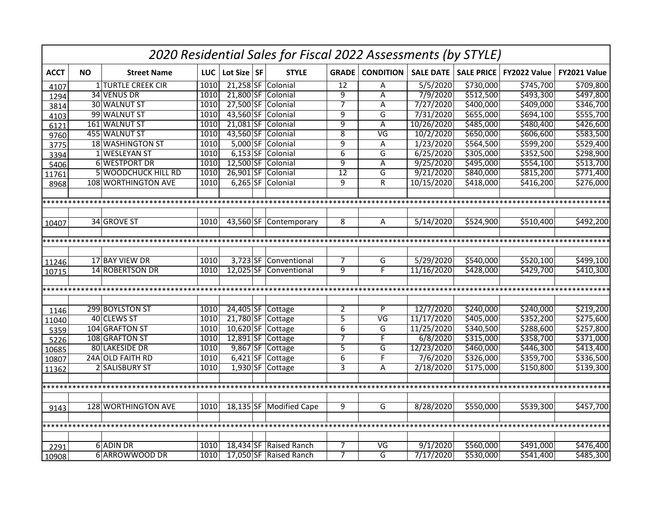|             | 2020 Residential Sales for Fiscal 2022 Assessments (by STYLE) |                            |            |             |  |                         |                 |                          |                  |                   |              |              |  |  |
|-------------|---------------------------------------------------------------|----------------------------|------------|-------------|--|-------------------------|-----------------|--------------------------|------------------|-------------------|--------------|--------------|--|--|
| <b>ACCT</b> | <b>NO</b>                                                     | <b>Street Name</b>         | <b>LUC</b> | Lot Size SF |  | <b>STYLE</b>            | <b>GRADE</b>    | <b>CONDITION</b>         | <b>SALE DATE</b> | <b>SALE PRICE</b> | FY2022 Value | FY2021 Value |  |  |
| 4107        |                                                               | <b>1 TURTLE CREEK CIR</b>  | 1010       |             |  | 21,258 SF Colonial      | $\overline{12}$ | A                        | 5/5/2020         | \$730,000         | \$745,700    | \$709,800    |  |  |
| 1294        |                                                               | 34 VENUS DR                | 1010       |             |  | 21,800 SF Colonial      | $\overline{9}$  | Α                        | 7/9/2020         | \$512,500         | \$493,300    | \$497,800    |  |  |
| 3814        |                                                               | 30 WALNUT ST               | 1010       |             |  | 27,500 SF Colonial      | $\overline{7}$  | A                        | 7/27/2020        | \$400,000         | \$409,000    | \$346,700    |  |  |
| 4103        |                                                               | 99 WALNUT ST               | 1010       |             |  | 43,560 SF Colonial      | 9               | G                        | 7/31/2020        | \$655,000         | \$694,100    | \$555,700    |  |  |
| 6121        |                                                               | 161 WALNUT ST              | 1010       |             |  | 21,081 SF Colonial      | $\overline{9}$  | A                        | 10/26/2020       | \$485,000         | \$480,400    | \$426,600    |  |  |
| 9760        |                                                               | 455 WALNUT ST              | 1010       |             |  | 43,560 SF Colonial      | 8               | $\overline{\mathsf{VG}}$ | 10/2/2020        | \$650,000         | \$606,600    | \$583,500    |  |  |
| 3775        |                                                               | 18 WASHINGTON ST           | 1010       |             |  | 5,000 SF Colonial       | $\overline{9}$  | Α                        | 1/23/2020        | \$564,500         | \$599,200    | \$529,400    |  |  |
| 3394        |                                                               | 1 WESLEYAN ST              | 1010       |             |  | 6,153 SF Colonial       | $\overline{6}$  | G                        | 6/25/2020        | \$305,000         | \$352,500    | \$298,900    |  |  |
| 5406        |                                                               | <b>6 WESTPORT DR</b>       | 1010       |             |  | 12,500 SF Colonial      | $\overline{9}$  | Α                        | 9/25/2020        | \$495,000         | \$554,100    | \$513,700    |  |  |
| 11761       |                                                               | <b>5 WOODCHUCK HILL RD</b> | 1010       |             |  | 26,901 SF Colonial      | $\overline{12}$ | G                        | 9/21/2020        | \$840,000         | \$815,200    | \$771,400    |  |  |
| 8968        |                                                               | 108 WORTHINGTON AVE        | 1010       |             |  | 6,265 SF Colonial       | 9               | R                        | 10/15/2020       | \$418,000         | \$416,200    | \$276,000    |  |  |
|             |                                                               |                            |            |             |  |                         |                 |                          |                  |                   |              |              |  |  |
|             |                                                               |                            |            |             |  |                         |                 |                          |                  |                   |              |              |  |  |
|             |                                                               |                            |            |             |  |                         |                 |                          |                  |                   |              |              |  |  |
| 10407       |                                                               | 34 GROVE ST                | 1010       |             |  | 43,560 SF Contemporary  | 8               | A                        | 5/14/2020        | \$524,900         | \$510,400    | \$492,200    |  |  |
|             |                                                               |                            |            |             |  |                         |                 |                          |                  |                   |              |              |  |  |
|             |                                                               |                            |            |             |  |                         |                 |                          |                  |                   |              |              |  |  |
|             |                                                               |                            |            |             |  |                         |                 |                          |                  |                   |              |              |  |  |
| 11246       |                                                               | 17 BAY VIEW DR             | 1010       |             |  | 3,723 SF Conventional   | $\overline{7}$  | G                        | 5/29/2020        | \$540,000         | \$520,100    | \$499,100    |  |  |
| 10715       |                                                               | <b>14 ROBERTSON DR</b>     | 1010       |             |  | 12,025 SF Conventional  | 9               | F                        | 11/16/2020       | \$428,000         | \$429,700    | \$410,300    |  |  |
|             |                                                               |                            |            |             |  |                         |                 |                          |                  |                   |              |              |  |  |
|             |                                                               |                            |            |             |  |                         |                 |                          |                  |                   |              |              |  |  |
|             |                                                               |                            |            |             |  |                         |                 |                          |                  |                   |              |              |  |  |
| 1146        |                                                               | 299 BOYLSTON ST            | 1010       |             |  | 24,405 SF Cottage       | 2               | P                        | 12/7/2020        | \$240,000         | \$240,000    | \$219,200    |  |  |
| 11040       |                                                               | 40 CLEWS ST                | 1010       |             |  | 21,780 SF Cottage       | 5               | VG                       | 11/17/2020       | \$405,000         | \$352,200    | \$275,600    |  |  |
| 5359        |                                                               | 104 GRAFTON ST             | 1010       |             |  | 10,620 SF Cottage       | 6               | G                        | 11/25/2020       | \$340,500         | \$288,600    | \$257,800    |  |  |
| 5226        |                                                               | 108 GRAFTON ST             | 1010       |             |  | 12,891 SF Cottage       | $\overline{7}$  | $\overline{F}$           | 6/8/2020         | \$315,000         | \$358,700    | \$371,000    |  |  |
| 10685       |                                                               | <b>80 LAKESIDE DR</b>      | 1010       |             |  | 9,867 SF Cottage        | $\overline{5}$  | G                        | 12/23/2020       | \$460,000         | \$446,300    | \$413,400    |  |  |
| 10807       |                                                               | 24A OLD FAITH RD           | 1010       |             |  | 6,421 SF Cottage        | $\overline{6}$  | F                        | 7/6/2020         | \$326,000         | \$359,700    | \$336,500    |  |  |
| 11362       |                                                               | 2 SALISBURY ST             | 1010       |             |  | 1,930 SF Cottage        | 3               | A                        | 2/18/2020        | \$175,000         | \$150,800    | \$139,300    |  |  |
|             |                                                               |                            |            |             |  |                         |                 |                          |                  |                   |              |              |  |  |
|             |                                                               |                            |            |             |  |                         |                 |                          |                  |                   |              |              |  |  |
|             |                                                               |                            |            |             |  |                         |                 |                          |                  |                   |              |              |  |  |
| 9143        |                                                               | 128 WORTHINGTON AVE        | 1010       |             |  | 18,135 SF Modified Cape | 9               | G                        | 8/28/2020        | \$550,000         | \$539,300    | \$457,700    |  |  |
|             |                                                               |                            |            |             |  |                         |                 |                          |                  |                   |              |              |  |  |
|             |                                                               |                            |            |             |  |                         |                 |                          |                  |                   |              |              |  |  |
|             |                                                               |                            |            |             |  |                         |                 |                          |                  |                   |              |              |  |  |
| 2291        |                                                               | 6 ADIN DR                  | 1010       |             |  | 18,434 SF Raised Ranch  | 7               | VG                       | 9/1/2020         | \$560,000         | \$491,000    | \$476,400    |  |  |
| 10908       |                                                               | 6 ARROWWOOD DR             | 1010       |             |  | 17,050 SF Raised Ranch  | $\overline{7}$  | G                        | 7/17/2020        | \$530,000         | \$541,400    | \$485,300    |  |  |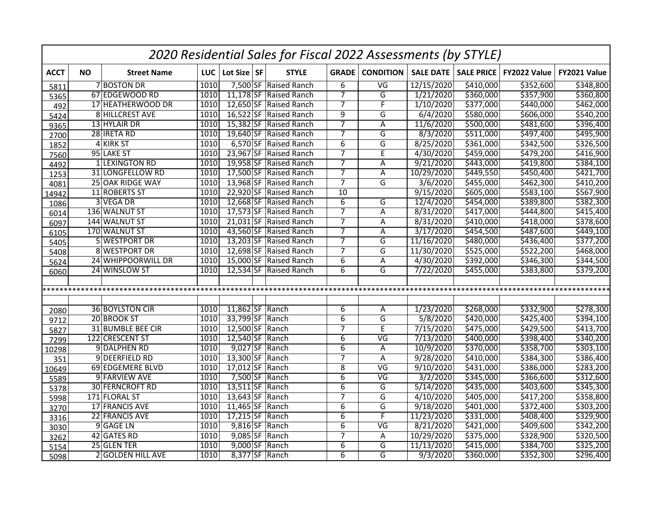|             | 2020 Residential Sales for Fiscal 2022 Assessments (by STYLE) |                        |            |                 |                        |                |                          |                  |                   |              |              |  |  |
|-------------|---------------------------------------------------------------|------------------------|------------|-----------------|------------------------|----------------|--------------------------|------------------|-------------------|--------------|--------------|--|--|
| <b>ACCT</b> | <b>NO</b>                                                     | <b>Street Name</b>     | <b>LUC</b> | Lot Size SF     | <b>STYLE</b>           | <b>GRADE</b>   | <b>CONDITION</b>         | <b>SALE DATE</b> | <b>SALE PRICE</b> | FY2022 Value | FY2021 Value |  |  |
| 5811        |                                                               | <b>7 BOSTON DR</b>     | 1010       |                 | 7,500 SF Raised Ranch  | $\overline{6}$ | $\overline{\mathsf{VG}}$ | 12/15/2020       | \$410,000         | \$352,600    | \$348,800    |  |  |
| 5365        |                                                               | 67 EDGEWOOD RD         | 1010       |                 | 11,178 SF Raised Ranch | $\overline{7}$ | G                        | 1/21/2020        | \$360,000         | \$357,900    | \$360,800    |  |  |
| 492         |                                                               | 17 HEATHERWOOD DR      | 1010       |                 | 12,650 SF Raised Ranch | $\overline{7}$ | $\overline{\mathsf{F}}$  | 1/10/2020        | \$377,000         | \$440,000    | \$462,000    |  |  |
| 5424        |                                                               | 8 HILLCREST AVE        | 1010       |                 | 16,522 SF Raised Ranch | $\overline{9}$ | G                        | 6/4/2020         | \$580,000         | \$606,000    | \$540,200    |  |  |
| 9365        |                                                               | 13 HYLAIR DR           | 1010       |                 | 15,382 SF Raised Ranch | 7              | $\overline{A}$           | 11/6/2020        | \$500,000         | \$481,600    | \$396,400    |  |  |
| 2700        |                                                               | 28 IRETA RD            | 1010       |                 | 19,640 SF Raised Ranch | $\overline{7}$ | G                        | 8/3/2020         | \$511,000         | \$497,400    | \$495,900    |  |  |
| 1852        |                                                               | 4 KIRK ST              | 1010       |                 | 6,570 SF Raised Ranch  | $\overline{6}$ | G                        | 8/25/2020        | \$361,000         | \$342,500    | \$326,500    |  |  |
| 7560        |                                                               | 95 LAKE ST             | 1010       | 23,967 SF       | <b>Raised Ranch</b>    | $\overline{7}$ | $\overline{E}$           | 4/30/2020        | \$459,000         | 5479,200     | \$416,900    |  |  |
| 4492        |                                                               | 1 LEXINGTON RD         | 1010       |                 | 19,958 SF Raised Ranch | $\overline{7}$ | A                        | 9/21/2020        | \$443,000         | 5419,800     | \$384,100    |  |  |
| 1253        |                                                               | 31 LONGFELLOW RD       | 1010       |                 | 17,500 SF Raised Ranch | $\overline{7}$ | A                        | 10/29/2020       | \$449,550         | \$450,400    | \$421,700    |  |  |
| 4081        |                                                               | 25 OAK RIDGE WAY       | 1010       |                 | 13,968 SF Raised Ranch | $\overline{7}$ | G                        | 3/6/2020         | \$455,000         | \$462,300    | \$410,200    |  |  |
| 14942       |                                                               | 11 ROBERTS ST          | 1010       |                 | 22,920 SF Raised Ranch | 10             |                          | 9/15/2020        | \$605,000         | \$583,100    | \$567,900    |  |  |
| 1086        |                                                               | 3 VEGA DR              | 1010       |                 | 12,668 SF Raised Ranch | 6              | G                        | 12/4/2020        | \$454,000         | \$389,800    | \$382,300    |  |  |
| 6014        |                                                               | 136 WALNUT ST          | 1010       | 17,573 SF       | <b>Raised Ranch</b>    | $\overline{7}$ | A                        | 8/31/2020        | \$417,000         | \$444,800    | \$415,400    |  |  |
| 6097        |                                                               | 144 WALNUT ST          | 1010       |                 | 21,031 SF Raised Ranch | $\overline{7}$ | A                        | 8/31/2020        | \$410,000         | \$418,000    | \$378,600    |  |  |
| 6105        |                                                               | 170 WALNUT ST          | 1010       | 43,560 SF       | <b>Raised Ranch</b>    | 7              | A                        | 3/17/2020        | \$454,500         | \$487,600    | \$449,100    |  |  |
| 5405        |                                                               | 5 WESTPORT DR          | 1010       |                 | 13,203 SF Raised Ranch | $\overline{7}$ | G                        | 11/16/2020       | 5480,000          | \$436,400    | \$377,200    |  |  |
| 5408        |                                                               | 8 WESTPORT DR          | 1010       |                 | 12,698 SF Raised Ranch | $\overline{7}$ | G                        | 11/30/2020       | \$525,000         | \$522,200    | \$468,000    |  |  |
| 5624        |                                                               | 24 WHIPPOORWILL DR     | 1010       | 15,000 SF       | Raised Ranch           | $\overline{6}$ | A                        | 4/30/2020        | \$392,000         | \$346,300    | \$344,500    |  |  |
| 6060        |                                                               | 24 WINSLOW ST          | 1010       |                 | 12,534 SF Raised Ranch | 6              | G                        | 7/22/2020        | \$455,000         | \$383,800    | \$379,200    |  |  |
|             |                                                               |                        |            |                 |                        |                |                          |                  |                   |              |              |  |  |
|             |                                                               |                        |            |                 |                        |                |                          |                  |                   |              |              |  |  |
|             |                                                               |                        |            |                 |                        |                |                          |                  |                   |              |              |  |  |
| 2080        |                                                               | <b>36 BOYLSTON CIR</b> | 1010       | 11,862 SF Ranch |                        | 6              | A                        | 1/23/2020        | \$268,000         | \$332,900    | \$278,300    |  |  |
| 9712        |                                                               | 20 BROOK ST            | 1010       | 33,799 SF Ranch |                        | 6              | G                        | 5/8/2020         | \$420,000         | \$425,400    | \$394,100    |  |  |
| 5827        |                                                               | 31 BUMBLE BEE CIR      | 1010       | 12,500 SF Ranch |                        | $\overline{7}$ | E                        | 7/15/2020        | \$475,000         | \$429,500    | \$413,700    |  |  |
| 7299        |                                                               | 122 CRESCENT ST        | 1010       | 12,540 SF Ranch |                        | 6              | $\overline{\mathsf{VG}}$ | 7/13/2020        | \$400,000         | \$398,400    | \$340,200    |  |  |
| 10298       |                                                               | 9 DALPHEN RD           | 1010       | 9,027 SF Ranch  |                        | $\overline{6}$ | A                        | 10/9/2020        | \$370,000         | \$358,700    | \$303,100    |  |  |
| 351         |                                                               | 9 DEERFIELD RD         | 1010       | 13,300 SF       | Ranch                  | 7              | Α                        | 9/28/2020        | \$410,000         | \$384,300    | \$386,400    |  |  |
| 10649       |                                                               | 69 EDGEMERE BLVD       | 1010       | 17,012 SF Ranch |                        | $\overline{8}$ | $\overline{\mathsf{VG}}$ | 9/10/2020        | \$431,000         | \$386,000    | \$283,200    |  |  |
| 5589        |                                                               | 9 FARVIEW AVE          | 1010       | 7,500 SF Ranch  |                        | $\overline{6}$ | $\overline{\mathsf{VG}}$ | 3/2/2020         | \$345,000         | \$366,600    | \$312,600    |  |  |
| 5378        |                                                               | <b>30 FERNCROFT RD</b> | 1010       | 13,511 SF Ranch |                        | $\overline{6}$ | G                        | 5/14/2020        | \$435,000         | \$403,600    | \$345,300    |  |  |
| 5998        |                                                               | 171 FLORAL ST          | 1010       | $13,643$ SF     | Ranch                  | $\overline{7}$ | G                        | 4/10/2020        | \$405,000         | \$417,200    | \$358,800    |  |  |
| 3270        |                                                               | 17 FRANCIS AVE         | 1010       | 11,465 SF Ranch |                        | 6              | $\overline{\mathsf{G}}$  | 9/18/2020        | \$401,000         | \$372,400    | \$303,200    |  |  |
| 3316        |                                                               | 22 FRANCIS AVE         | 1010       | $17,215$ SF     | Ranch                  | 6              | F                        | 11/23/2020       | \$331,000         | \$408,400    | \$329,900    |  |  |
| 3030        |                                                               | 9 GAGE LN              | 1010       | 9,816 SF Ranch  |                        | 6              | $\overline{\mathsf{VG}}$ | 8/21/2020        | \$421,000         | \$409,600    | \$342,200    |  |  |
| 3262        |                                                               | 42 GATES RD            | 1010       | $9,085$ SF      | Ranch                  | 7              | Α                        | 10/29/2020       | \$375,000         | \$328,900    | \$320,500    |  |  |
| 5154        |                                                               | 25 GLEN TER            | 1010       | 9,000 SF Ranch  |                        | 6              | G                        | 11/13/2020       | \$415,000         | \$384,700    | \$325,200    |  |  |
| 5098        |                                                               | 2 GOLDEN HILL AVE      | 1010       | 8,377 SF Ranch  |                        | 6              | G                        | 9/3/2020         | \$360,000         | \$352,300    | \$296,400    |  |  |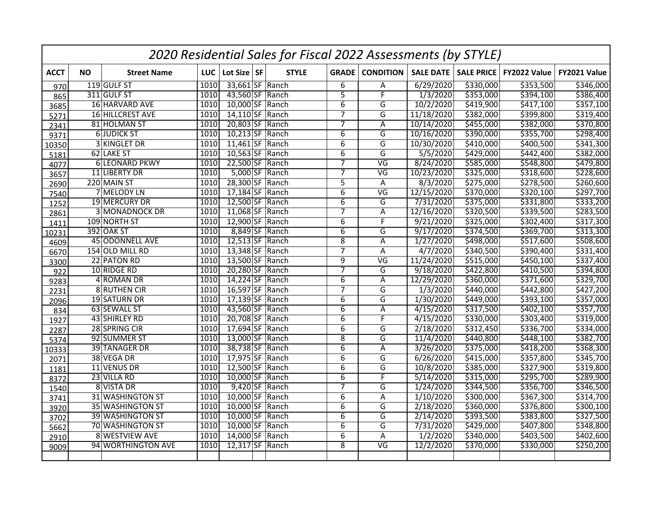|             | 2020 Residential Sales for Fiscal 2022 Assessments (by STYLE) |                       |            |                 |  |                  |                |                          |                  |                   |              |              |  |
|-------------|---------------------------------------------------------------|-----------------------|------------|-----------------|--|------------------|----------------|--------------------------|------------------|-------------------|--------------|--------------|--|
| <b>ACCT</b> | <b>NO</b>                                                     | <b>Street Name</b>    | <b>LUC</b> | Lot Size SF     |  | <b>STYLE</b>     |                | <b>GRADE</b> CONDITION   | <b>SALE DATE</b> | <b>SALE PRICE</b> | FY2022 Value | FY2021 Value |  |
| 970         |                                                               | 119 GULF ST           | 1010       | 33,661 SF Ranch |  |                  | 6              | A                        | 6/29/2020        | \$330,000         | \$353,500    | \$346,000    |  |
| 865         |                                                               | 311 GULF ST           | 1010       | 43,560 SF Ranch |  |                  | $\overline{5}$ | F                        | 1/3/2020         | \$353,000         | \$394,100    | \$386,400    |  |
| 3685        |                                                               | 16 HARVARD AVE        | 1010       | 10,000 SF Ranch |  |                  | 6              | G                        | 10/2/2020        | \$419,900         | \$417,100    | \$357,100    |  |
| 5271        |                                                               | 16 HILLCREST AVE      | 1010       | 14,110 SF Ranch |  |                  | $\overline{7}$ | G                        | 11/18/2020       | \$382,000         | \$399,800    | \$319,400    |  |
| 2341        |                                                               | 81 HOLMAN ST          | 1010       | 20,803 SF Ranch |  |                  | 7              | Α                        | 10/14/2020       | \$455,000         | \$382,000    | \$370,800    |  |
| 9371        |                                                               | <b>6 JUDICK ST</b>    | 1010       | 10,213 SF Ranch |  |                  | $\overline{6}$ | G                        | 10/16/2020       | \$390,000         | \$355,700    | \$298,400    |  |
| 10350       |                                                               | 3 KINGLET DR          | 1010       | 11,461 SF Ranch |  |                  | $\overline{6}$ | G                        | 10/30/2020       | \$410,000         | \$400,500    | \$341,300    |  |
| 5181        |                                                               | 62 LAKE ST            | 1010       | 10,563 SF Ranch |  |                  | $\overline{6}$ | $\overline{\mathsf{G}}$  | 5/5/2020         | \$429,000         | \$442,400    | \$382,000    |  |
| 4077        |                                                               | <b>6 LEONARD PKWY</b> | 1010       | 22,500 SF Ranch |  |                  | 7              | $\overline{\mathsf{VG}}$ | 8/24/2020        | \$585,000         | \$548,800    | \$479,800    |  |
| 3657        |                                                               | 11 LIBERTY DR         | 1010       |                 |  | 5,000 SF Ranch   | $\overline{7}$ | $\overline{\mathsf{VG}}$ | 10/23/2020       | \$325,000         | \$318,600    | \$228,600    |  |
| 2690        |                                                               | 220 MAIN ST           | 1010       | 28,300 SF Ranch |  |                  | $\overline{5}$ | A                        | 8/3/2020         | \$275,000         | \$278,500    | \$260,600    |  |
| 7540        |                                                               | 7 MELODY LN           | 1010       | 17,184 SF Ranch |  |                  | 6              | VG                       | 12/15/2020       | \$370,000         | \$320,100    | \$297,700    |  |
| 1252        |                                                               | 19 MERCURY DR         | 1010       | 12,500 SF Ranch |  |                  | 6              | G                        | 7/31/2020        | \$375,000         | \$331,800    | \$333,200    |  |
| 2861        |                                                               | <b>3 MONADNOCK DR</b> | 1010       | 11,068 SF       |  | Ranch            | $\overline{7}$ | Α                        | 12/16/2020       | \$320,500         | \$339,500    | \$283,500    |  |
| 1411        |                                                               | 109 NORTH ST          | 1010       | $12,900$ SF     |  | Ranch            | $\overline{6}$ | F                        | 9/21/2020        | \$325,000         | \$302,400    | \$317,300    |  |
| 10231       |                                                               | <b>392 OAK ST</b>     | 1010       | $8,849$ SF      |  | Ranch            | $\overline{6}$ | G                        | 9/17/2020        | \$374,500         | \$369,700    | \$313,300    |  |
| 4609        |                                                               | 45 ODONNELL AVE       | 1010       | $12,513$ SF     |  | Ranch            | 8              | Α                        | 1/27/2020        | \$498,000         | \$517,600    | \$508,600    |  |
| 6670        |                                                               | 154 OLD MILL RD       | 1010       | 13,348 SF Ranch |  |                  | $\overline{7}$ | A                        | 4/7/2020         | \$340,500         | \$390,400    | \$331,400    |  |
| 3300        |                                                               | 22 PATON RD           | 1010       | 13,500 SF       |  | Ranch            | $\overline{9}$ | $\overline{\mathsf{VG}}$ | 11/24/2020       | \$515,000         | \$450,100    | \$337,400    |  |
| 922         |                                                               | 10 RIDGE RD           | 1010       | 20,280 SF Ranch |  |                  | 7              | G                        | 9/18/2020        | \$422,800         | \$410,500    | \$394,800    |  |
| 9283        |                                                               | 4 ROMAN DR            | 1010       | $14,224$ SF     |  | Ranch            | $\overline{6}$ | A                        | 12/29/2020       | \$360,000         | \$371,600    | \$329,700    |  |
| 2231        |                                                               | 8 RUTHEN CIR          | 1010       | 16,597 SF Ranch |  |                  | 7              | G                        | 1/3/2020         | \$440,000         | \$442,800    | \$427,200    |  |
| 2096        |                                                               | <b>19 SATURN DR</b>   | 1010       | 17,139 SF Ranch |  |                  | $\overline{6}$ | $\overline{G}$           | 1/30/2020        | \$449,000         | \$393,100    | \$357,000    |  |
| 834         |                                                               | 63 SEWALL ST          | 1010       | 43,560 SF Ranch |  |                  | 6              | A                        | 4/15/2020        | \$317,500         | \$402,100    | \$357,700    |  |
| 1927        |                                                               | 43 SHIRLEY RD         | 1010       | 20,708 SF Ranch |  |                  | 6              | $\overline{F}$           | 4/15/2020        | \$330,000         | \$303,400    | \$319,000    |  |
| 2287        |                                                               | 28 SPRING CIR         | 1010       | 17,694 SF Ranch |  |                  | $\overline{6}$ | G                        | 2/18/2020        | \$312,450         | \$336,700    | \$334,000    |  |
| 5374        |                                                               | 92 SUMMER ST          | 1010       | 13,000 SF Ranch |  |                  | $\overline{8}$ | $\overline{\mathsf{G}}$  | 11/4/2020        | \$440,800         | \$448,100    | \$382,700    |  |
| 10333       |                                                               | 39 TANAGER DR         | 1010       | 38,738 SF Ranch |  |                  | $\overline{6}$ | A                        | 3/26/2020        | \$375,000         | \$418,200    | \$368,300    |  |
| 2071        |                                                               | 38 VEGA DR            | 1010       | 17,975 SF Ranch |  |                  | $\overline{6}$ | $\overline{\mathsf{G}}$  | 6/26/2020        | \$415,000         | \$357,800    | \$345,700    |  |
| 1181        |                                                               | 11 VENUS DR           | 1010       | 12,500 SF Ranch |  |                  | 6              | G                        | 10/8/2020        | \$385,000         | \$327,900    | \$319,800    |  |
| 8372        |                                                               | 23 VILLA RD           | 1010       | 10,000 SF Ranch |  |                  | 6              | $\overline{F}$           | 5/14/2020        | \$315,000         | \$295,700    | \$289,900    |  |
| 1540        |                                                               | 8 VISTA DR            | 1010       |                 |  | $9,420$ SF Ranch | 7              | G                        | 1/24/2020        | \$344,500         | \$356,700    | \$346,500    |  |
| 3741        |                                                               | 31 WASHINGTON ST      | 1010       | 10,000 SF Ranch |  |                  | 6              | Α                        | 1/10/2020        | \$300,000         | \$367,300    | \$314,700    |  |
| 3920        |                                                               | 35 WASHINGTON ST      | 1010       | 10,000 SF Ranch |  |                  | $\overline{6}$ | $\overline{G}$           | 2/18/2020        | \$360,000         | \$376,800    | \$300,100    |  |
| 3702        |                                                               | 39 WASHINGTON ST      | 1010       | 10,000 SF Ranch |  |                  | $\overline{6}$ | G                        | 2/14/2020        | \$393,500         | \$383,800    | \$327,500    |  |
| 5662        |                                                               | 70 WASHINGTON ST      | 1010       | 10,000 SF Ranch |  |                  | $\overline{6}$ | G                        | 7/31/2020        | \$429,000         | \$407,800    | \$348,800    |  |
| 2910        |                                                               | <b>8 WESTVIEW AVE</b> | 1010       | 14,000 SF Ranch |  |                  | $\overline{6}$ | A                        | 1/2/2020         | \$340,000         | \$403,500    | \$402,600    |  |
| 9009        |                                                               | 94 WORTHINGTON AVE    | 1010       | 12,317 SF Ranch |  |                  | $\overline{8}$ | $\overline{\mathsf{VG}}$ | 12/2/2020        | \$370,000         | \$330,000    | \$250,200    |  |
|             |                                                               |                       |            |                 |  |                  |                |                          |                  |                   |              |              |  |